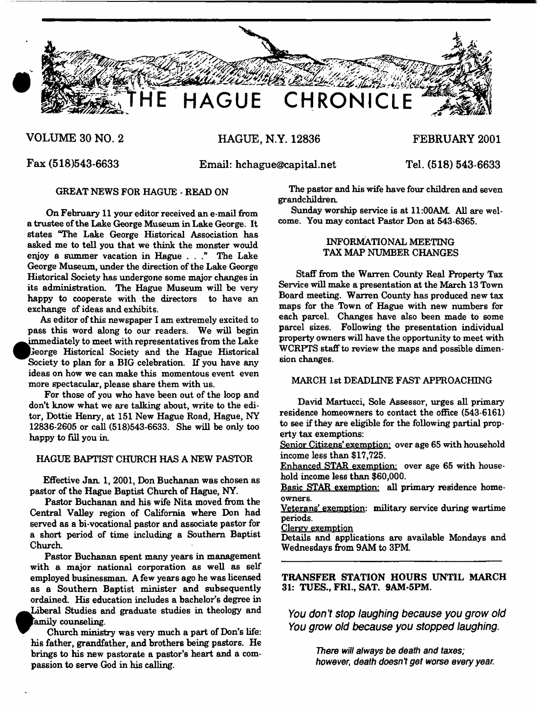

**VOLUME 30 NO. 2 HAGUE, N.Y. 12836 FEBRUARY 2001** 

**•**

**•**

**Fax (518)543-6633 Email: [hchague@capital.net](mailto:hchague@capital.net) Tel. (518) 543-6633**

On February 11 your editor received an e-mail from a trustee of the Lake George Museum in Lake George. It states "The Lake George Historical Association has asked me to tell you that we think the monster would enjoy a summer vacation in Hague . . ." The Lake George Museum, under the direction of the Lake George Historical Society has undergone some major changes in its administration. The Hague Museum will be very happy to cooperate with the directors to have an exchange of ideas and exhibits.

As editor of this newspaper I am extremely excited to pass this word along to our readers. We will begin immediately to meet with representatives from the Lake leorge Historical Society and the Hague Historical Society to plan for a BIG celebration. If you have any ideas on how we can make this momentous event even more spectacular, please share them with us.

For those of you who have been out of the loop and don't know what we are talking about, write to the editor, Dottie Henry, at 151 New Hague Road, Hague, NY 12836-2605 or call (518)543-6633. She will be only too happy to fill you in.

# HAGUE BAPTIST CHURCH HAS A NEW PASTOR

Effective Jan. 1, 2001, Don Buchanan was chosen as pastor of the Hague Baptist Church of Hague, NY.

Pastor Buchanan and his wife Nita moved from the Central Valley region of California where Don had served as a bi-vocational pastor and associate pastor for a short period of time including a Southern Baptist Church.

Pastor Buchanan spent many years in management with a major national corporation as well as self employed businessman. A few years ago he was licensed as a Southern Baptist minister and subsequently ordained. His education includes a bachelor's degree in Liberal Studies and graduate studies in theology and Family counseling.

Church ministry was very much a part of Don's life: brings to his new pastorate a pastor's heart and a compassion to serve God in his calling. passion to serve God in his calling.

GREAT NEWS FOR HAGUE - READ ON The pastor and his wife have four children and seven grandchildren.

> Sunday worship service is at 11:00AM. All are welcome. You may contact Pastor Don at 543-6365.

# INFORMATIONAL MEETING TAX MAP NUMBER CHANGES

Staff from the Warren County Real Property Tax Service will make a presentation at the March 13 Town Board meeting. Warren County has produced new tax maps for the Town of Hague with new numbers for each parcel. Changes have also been made to some parcel sizes. Following the presentation individual property owners will have the opportunity to meet with WCRPTS staff to review the maps and possible dimension changes.

# MARCH 1st DEADLINE FAST APPROACHING

David Martucci, Sole Assessor, urges all primary residence homeowners to contact the office (543-6161) to see if they are eligible for the following partial property tax exemptions:

Senior Citizens' exemption: over age 65 with household income less than \$17,725.

Enhanced STAR exemption: over age 65 with household income less than \$60,000.

Basic STAR exemption: all primary residence homeowners.

Veterans' exemption: military service during wartime periods.

Clergy exemption

Details and applications are available Mondays and Wednesdays from 9AM to 3PM

TRANSFER STATION HOURS UNTIL MARCH 31: TUES., FRI., SAT. 9AM-5PM.

*You don't stop laughing because you grow old You grow old because you stopped laughing***.**

> There *will always be death and taxes; however, death doesn't get worse every year.*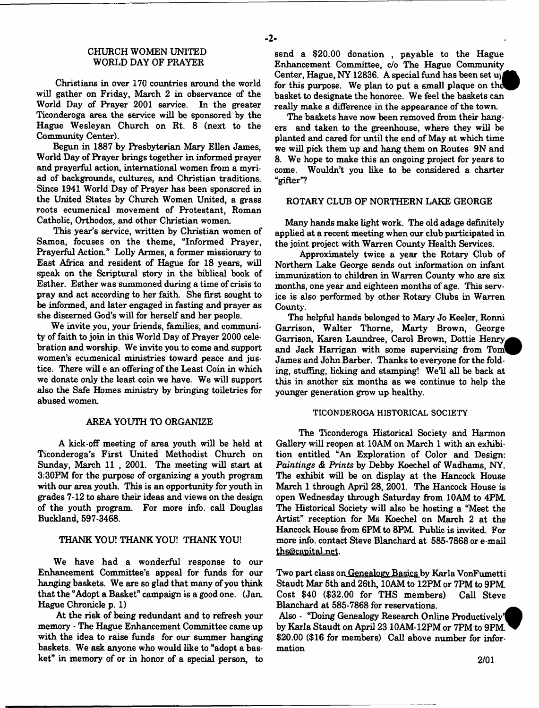Christians in over 170 countries around the world will gather on Friday, March 2 in observance of the World Day of Prayer 2001 service. In the greater Ticonderoga area the service will be sponsored by the Hague Wesleyan Church on Rt. 8 (next to the Community Center).

Begun in 1887 by Presbyterian Mary Ellen James, World Day of Prayer brings together in informed prayer and prayerful action, international women from a myriad of backgrounds, cultures, and Christian traditions. Since 1941 World Day of Prayer has been sponsored in the United States by Church Women United, a grass roots ecumenical movement of Protestant, Roman Catholic, Orthodox, and other Christian women.

This year's service, written by Christian women of Samoa, focuses on the theme, "Informed Prayer, Prayerful Action." Lolly Armes, a former missionary to East Africa and resident of Hague for 18 years, will speak on the Scriptural story in the biblical book of Esther. Esther was summoned during a time of crisis to pray and act according to her faith. She first sought to be informed, and later engaged in fasting and prayer as she discerned God's will for herself and her people.

We invite you, your friends, families, and community of faith to join in this World Day of Prayer 2000 celebration and worship. We invite you to come and support women's ecumenical ministries toward peace and justice. There will e an offering of the Least Coin in which we donate only the least coin we have. We will support also the Safe Homes ministry by bringing toiletries for abused women.

#### AREA YOUTH TO ORGANIZE

A kick-off meeting of area youth will be held at Ticonderoga's First United Methodist Church on Sunday, March 11 , 2001. The meeting will start at 3:30PM for the purpose of organizing a youth program with our area youth. This is an opportunity for youth in grades 7-12 to share their ideas and views on the design of the youth program. For more info, call Douglas Buckland, 597-3468.

# THANK YOU! THANK YOU! THANK YOU!

We have had a wonderful response to our Enhancement Committee's appeal for funds for our hanging baskets. We are so glad that many of you think that the "Adopt a Basket" campaign is a good one. (Jan. Hague Chronicle p. 1)

At the risk of being redundant and to refresh your memory - The Hague Enhancement Committee came up with the idea to raise funds for our summer hanging baskets. We ask anyone who would like to "adopt a basket" in memory of or in honor of a special person, to send a \$20.00 donation , payable to the Hague Enhancement Committee, *do* The Hague Community Center, Hague, NY 12836. A special fund has been set uy for this purpose. We plan to put a small plaque on the basket to designate the honoree. We feel the baskets can really make a difference in the appearance of the town.

The baskets have now been removed from their hangers and taken to the greenhouse, where they will be planted and cared for until the end of May at which time we will pick them up and hang them on Routes 9N and 8. We hope to make this an ongoing project for years to come. Wouldn't you like to be considered a charter "gifter"?

# ROTARY CLUB OF NORTHERN LAKE GEORGE

Many hands make light work. The old adage definitely applied at a recent meeting when our club participated in the joint project with Warren County Health Services.

Approximately twice a year the Rotary Club of Northern Lake George sends out information on infant immunization to children in Warren County who are six months, one year and eighteen months of age. This service is also performed by other Rotary Clubs in Warren County.

The helpful hands belonged to Mary Jo Keeler, Ronni Garrison, Walter Thorne, Marty Brown, George Garrison, Karen Laundree, Carol Brown, Dottie Henry, and Jack Harrigan with some supervising from Toml James and John Barber. Thanks to everyone for the folding, stuffing, licking and stamping! We'll all be back at this in another six months as we continue to help the younger generation grow up healthy.

#### TICONDEROGA HISTORICAL SOCIETY

The Ticonderoga Historical Society and Harmon Gallery will reopen at 10AM on March 1 with an exhibition entitled "An Exploration of Color and Design: *Paintings & Prints* by Debby Koechel of Wadhams, NY. The exhibit will be on display at the Hancock House March 1 through April 28, 2001. The Hancock House is open Wednesday through Saturday from 10AM to 4PM. The Historical Society will also be hosting a "Meet the Artist" reception for Ms Koechel on March 2 at the Hancock House from 6PM to 8PM. Public is invited. For more info, contact Steve Blanchard at 585-7868 or e-mail [ths@capital.net](mailto:ths@capital.net).

Two part class on Genealogy Basics bv Karla VonFumetti Staudt Mar 5th and 26th, 10AM to 12PM or 7PM to 9PM Cost \$40 (\$32.00 for THS members) Call Steve Blanchard at 585-7868 for reservations.

Also - "Doing Genealogy Research Online Productively'! by Karla Staudt on April 23 10AM-12PM or 7PM to 9PM \$20.00 (\$16 for members) Call above number for information

**2/01**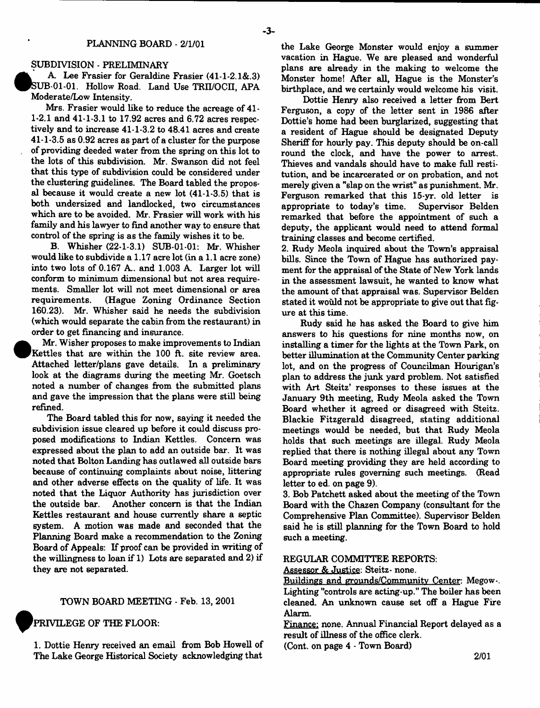# PLANNING BOARD - 2/1/01

#### SUBDIVISION - PRELIMINARY

A. Lee Frasier for Geraldine Frasier (41-1-2.1&.3) SUB 01-01. Hollow Road. Land Use TRII/OCII. APA Moderate/Low Intensity.

Mrs. Frasier would like to reduce the acreage of 41- 1-2.1 and  $41-1-3.1$  to 17.92 acres and 6.72 acres respectively and to increase 41-1-3.2 to 48.41 acres and create 41-1-3.5 as 0.92 acres as part of a cluster for the purpose of providing deeded water from the spring on this lot to the lots of this subdivision. Mr. Swanson did not feel that this type of subdivision could be considered under the clustering guidelines. The Board tabled the proposal because it would create a new lot (41-1-3.5) that is both undersized and landlocked, two circumstances which are to be avoided. Mr. Frasier will work with his family and his lawyer to find another way to ensure that control of the spring is as the family wishes it to be.

B. Whisher (22-1-3.1) SUB-01-01: Mr. Whisher would like to subdivide a 1.17 acre lot (in a 1.1 acre zone) into two lots of 0.167 A., and 1.003 A. Larger lot will conform to minimum dimensional but not area requirements. Smaller lot will not meet dimensional or area requirements. (Hague Zoning Ordinance Section 160.23). Mr. Whisher said he needs the subdivision (which would separate the cabin from the restaurant) in order to get financing and insurance.

 Mr. Wisher proposes to make improvements to Indian Kettles that are within the 100 ft. site review area. Attached letter/plans gave details. In a preliminary look at the diagrams during the meeting Mr. Goetsch noted a number of changes from the submitted plans and gave the impression that the plans were still being refined.

The Board tabled this for now, saying it needed the subdivision issue cleared up before it could discuss proposed modifications to Indian Kettles. Concern was expressed about the plan to add an outside bar. It was noted that Bolton Landing has outlawed all outside bars because of continuing complaints about noise, littering and other adverse effects on the quality of life. It was noted that the Liquor Authority has jurisdiction over the outside bar. Another concern is that the Indian Kettles restaurant and house currently share a septic system. A motion was made and seconded that the Planning Board make a recommendation to the Zoning Board of Appeals: If proof can be provided in writing of the willingness to loan if 1) Lots are separated and 2) if they are not separated.

### TOWN BOARD MEETING - Feb. 13, 2001

# PRIVILEGE OF THE FLOOR:

**•**

1. Dottie Henry received an email from Bob Howell of The Lake George Historical Society acknowledging that

the Lake George Monster would enjoy a summer vacation in Hague. We are pleased and wonderful plans are already in the making to welcome the Monster home! After all, Hague is the Monster's birthplace, and we certainly would welcome his visit.

Dottie Henry also received a letter from Bert Ferguson, a copy of the letter sent in 1986 after Dottie's home had been burglarized, suggesting that a resident of Hague should be designated Deputy Sheriff for hourly pay. This deputy should be on-call round the clock, and have the power to arrest. Thieves and vandals should have to make full restitution, and be incarcerated or on probation, and not merely given a "slap on the wrist" as punishment. Mr. Ferguson remarked that this 15-yr. old letter is appropriate to today's time. Supervisor Belden remarked that before the appointment of such a deputy, the applicant would need to attend formal training classes and become certified.

2. Rudy Meola inquired about the Town's appraisal bills. Since the Town of Hague has authorized payment for the appraisal of the State of New York lands in the assessment lawsuit, he wanted to know what the amount of that appraisal was. Supervisor Belden stated it would not be appropriate to give out that figure at this time.

Rudy said he has asked the Board to give him answers to his questions for nine months now, on installing a timer for the lights at the Town Park, on better illumination at the Community Center parking lot, and on the progress of Councilman Hourigan's plan to address the junk yard problem. Not satisfied with Art Steitz' responses to these issues at the January 9th meeting, Rudy Meola asked the Town Board whether it agreed or disagreed with Steitz. Blackie Fitzgerald disagreed, stating additional meetings would be needed, but that Rudy Meola holds that such meetings are illegal. Rudy Meola replied that there is nothing illegal about any Town Board meeting providing they are held according to appropriate rules governing such meetings. (Read letter to ed. on page 9).

3. Bob Patchett asked about the meeting of the Town Board with the Chazen Company (consultant for the Comprehensive Plan Committee). Supervisor Belden said he is still planning for the Town Board to hold such a meeting.

### REGULAR COMMITTEE REPORTS:

Assessor & Justice: Steitz- none.

Buildings and grounds/Community Center: Megow-. Lighting "controls are acting-up." The boiler has been cleaned. An unknown cause set off a Hague Fire Alarm.

Finance: none. Annual Financial Report delayed as a result of illness of the office clerk.

(Cont. on page 4 - Town Board)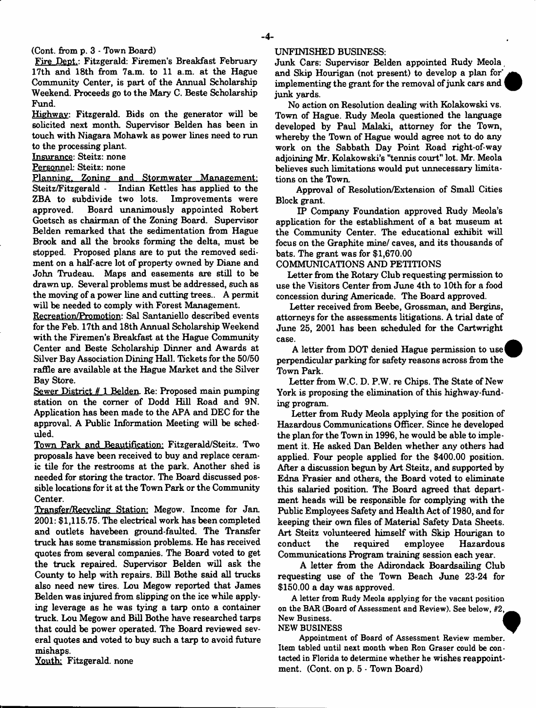(Cont. from p. 3 - Town Board)

Fire Dept.: Fitzgerald: Firemen's Breakfast February 17th and 18th from 7a.m. to 11 a.m. at the Hague Community Center, is part of the Annual Scholarship Weekend. Proceeds go to the Mary C. Beste Scholarship Fund.

Highway: Fitzgerald. Bids on the generator will be solicited next month. Supervisor Belden has been in touch with Niagara Mohawk as power lines need to run to the processing plant.

Insurance: Steitz: none

Personnel: Steitz: none

Planning. Zoning and Stormwater Management: Steitz/Fitzgerald - Indian Kettles has applied to the ZBA to subdivide two lots. Improvements were approved. Board unanimously appointed Bobert Goetsch as chairman of the Zoning Board. Supervisor Belden remarked that the sedimentation from Hague Brook and all the brooks forming the delta, must be stopped. Proposed plans are to put the removed sediment on a half-acre lot of property owned by Diane and John Trudeau. Maps and easements are still to be drawn up. Several problems must be addressed, such as the moving of a power line and cutting trees.. A permit will be needed to comply with Forest Management.

Recreation/Promotion: Sal Santaniello described events for the Feb. 17th and 18th Annual Scholarship Weekend with the Firemen's Breakfast at the Hague Community Center and Beste Scholarship Dinner and Awards at Silver Bay Association Dining Hall. Tickets for the 50/50 raffle are available at the Hague Market and the Silver Bay Store.

Sewer District *ff* 1 Belden Re: Proposed main pumping station on the comer of Dodd Hill Road and 9N. Application has been made to the APA and DEC for the approval. A Public Information Meeting will be scheduled.

Town Park and Beautification: Fitzgerald/Steitz. Two proposals have been received to buy and replace ceramic tile for the restrooms at the park. Another shed is needed for storing the tractor. The Board discussed possible locations for it at the Town Park or the Community Center.

Transfer/Recvcling Station: Megow. Income for Jan. 2001: \$1,115.75. The electrical work has been completed and outlets havebeen ground-faulted. The Transfer truck has some transmission problems. He has received quotes from several companies. The Board voted to get the truck repaired. Supervisor Belden will ask the County to help with repairs. Bill Bothe said all trucks also need new tires. Lou Megow reported that James Belden was injured from slipping on the ice while applying leverage as he was tying a tarp onto a container truck. Lou Megow and Bill Bothe have researched tarps that could be power operated. The Board reviewed several quotes and voted to buy such a tarp to avoid future mishaps.

Youth: Fitzgerald, none

#### UNFINISHED BUSINESS:

Junk Care: Supervisor Belden appointed Rudy Meola, and Skip Hourigan (not present) to develop a plan for' implementing the grant for the removal of junk cars and junk yards.

No action on Resolution dealing with Kolakowski vs. Town of Hague. Rudy Meola questioned the language developed by Paul Malaki, attorney for the Town, whereby the Town of Hague would agree not to do any work on the Sabbath Day Point Road right-of-way adjoining Mr. Kolakow ski's "tennis court" lot. Mr. Meola believes such limitations would put unnecessary limitations on the Town.

Approval of Resolution/Extension of Small Cities Block grant.

IP Company Foundation approved Rudy Meola's application for the establishment of a bat museum at the Community Center. The educational exhibit will focus on the Graphite mine/ caves, and its thousands of bats. The grant was for \$1,670.00

COMMUNICATIONS AND PETITIONS

Letter from the Rotary Club requesting permission to use the Visitors Center from June 4th to 10th for a food concession during Americade. The Board approved.

Letter received from Beebe, Grossman, and Bergins, attorneys for the assessments litigations. A trial date of June 25, 2001 has been scheduled for the Cartwright case.

A letter from DOT denied Hague permission to use perpendicular parking for safety reasons across from the Town Park.

Letter from W.C. D. P.W. re Chips. The State of New York is proposing the elimination of this highway-funding program.

Letter from Rudy Meola applying for the position of Hazardous Communications Officer. Since he developed the plan for the Town in 1996, he would be able to implement it. He asked Dan Belden whether any others had applied. Four people applied for the \$400.00 position. After a discussion begun by Art Steitz, and supported by Edna Frasier and others, the Board voted to eliminate this salaried position. The Board agreed that department heads will be responsible for complying with the Public Employees Safety and Health Act of 1980, and for keeping their own files of Material Safety Data Sheets. Art Steitz volunteered himself with Skip Hourigan to conduct the required employee Hazardous Communications Program training session each year.

A letter from the Adirondack Boards ailing Club requesting use of the Town Beach June 23-24 for \$150.00 a day was approved.

A letter from Rudy Meola applying for the vacant position on the BAR (Board of Assessment and Review). See below, *82,* New Business. *i*

#### NEW BUSINESS ^

Appointment of Board of Assessment Review member. Item tabled until next month when Ron Graser could be contacted in Florida to determine whether he wishes reappointment. (Cont. on p. 5 - Town Board)

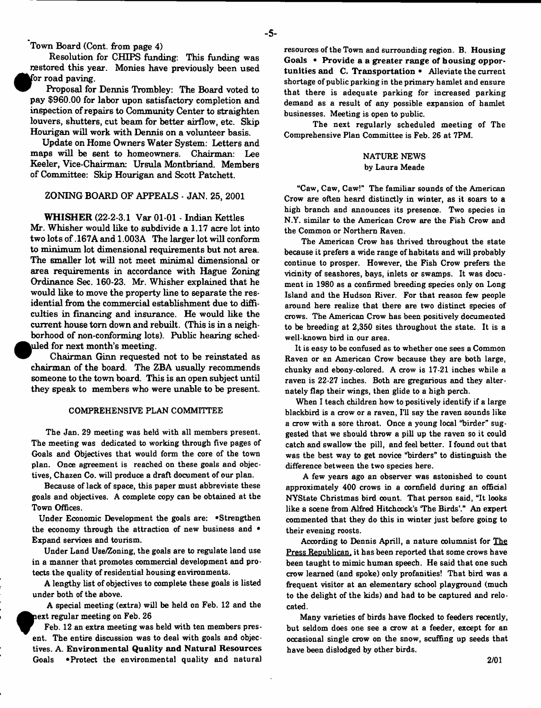Town Board (Cont. from page 4)

Resolution for CHIPS funding: This funding was restored this year. Monies have previously been used for road paving.

Proposal for Dennis Trombley: The Board voted to pay \$960.00 for labor upon satisfactory completion and inspection of repairs to Community Center to straighten louvers, shutters, cut beam for better airflow, etc. Skip Hourigan will work with Dennis on a volunteer basis.

Update on Home Owners Water System: Letters and maps will be sent to homeowners. Chairman: Lee Keeler, Vice-Chairman: Ursula Montbriand. Members of Committee: Skip Hourigan and Scott Patchett.

#### ZONING BOARD OF APPEALS - JAN. 25, 2001

WHISHER (22-2-3.1 Var 01-01 - Indian Kettles Mr. Whisher would like to subdivide a 1.17 acre lot into two lots of .167A and 1.003A The larger lot will conform to minimum lot dimensional requirements but not area. The smaller lot will not meet minimal dimensional or area requirements in accordance with Hague Zoning Ordinance Sec. 160-23. Mr. Whisher explained that he would like to move the property line to separate the residential from the commercial establishment due to difficulties in financing and insurance. He would like the current house tom down and rebuilt. (This is in a neighborhood of non-conforming lots). Public hearing sched-  $\bm{\mathsf{u}}$ led for next month's meeting.

Chairman Ginn requested not to be reinstated as chairman of the board. The ZBA usually recommends someone to the town board. This is an open subject until they speak to members who were unable to be present.

#### COMPREHENSIVE PLAN COMMITTEE

The Jan. 29 meeting was held with all members present. The meeting was dedicated to working through five pages of Goals and Objectives that would form the core of the town plan. Once agreement is reached on these goals and objectives, Chazen Co. will produce a draft document of our plan.

Because of lack of space, this paper must abbreviate these goals and objectives. A complete copy can be obtained at the Town Offices.

Under Economic Development the goals are: . Strengthen the economy through the attraction of new business and • Expand Bervices and tourism.

Under Land Use/Zoning, the goals are to regulate land use in a manner that promotes commercial development and protects the quality of residential housing environments.

A lengthy list of objectives to complete these goals is listed under both of the above.

A special meeting (extra) will be held on Feb. 12 and the ext regular meeting on Feb. 26

Feb. 12 an extra meeting was held with ten members present. The entire discussion was to deal with goals and objectives. A. Environmental Quality and Natural Resources Goals . Protect the environmental quality and natural

**?**

resources of the Town and surrounding region. B. Housing Goals • Provide a a greater range of housing opportunities and C. Transportation • Alleviate the current shortage of public parking in the primary hamlet and ensure that there is adequate parking for increased parking demand as a result of any possible expansion of hamlet businesses. Meeting is open to public.

The next regularly scheduled meeting of The Comprehensive Plan Committee is Feb. 26 at 7PM.

# NATURE NEWS by Laura Meade

"Caw, Caw, Caw!" The familiar sounds of the American Crow are often heard distinctly in winter, as it soars to a high branch and announces its presence. Two species in N.Y. similar to the American Crow are the Fish Crow and the Common or Northern Raven.

The American Crow has thrived throughout the state because it prefers a wide range of habitats and will probably continue to prosper. However, the Fish Crow prefers the vicinity of seashores, bays, inlets or swamps. It was document in 1980 as a confirmed breeding species only on Long Island and the Hudson River. For that reason few people around here realize that there are two distinct species of crows. The American Crow has been positively documented to be breeding at 2,350 sites throughout the state. It is a well-known bird in our area.

It is easy to be confused as to whether one sees a Common Raven or an American Crow because they are both large, chunky and ebony-colored. A crow is 17-21 inches while a raven is 22-27 inches. Both are gregarious and they alternately flap their wings, then glide to a high perch.

When I teach children how to positively identify if a large blackbird is a crow or a raven, I'll say the raven sounds like a crow with a sore throat. Once a young local "birder" suggested that we should throw a pill up the raven so it could catch and swallow the pill, and feel better. I found out that was the best way to get novice "birders" to distinguish the difference between the two species here.

A few years ago an observer was astonished to count approximately 400 crows in a cornfield during an official NYState Christmas bird count. That person Baid, "It looks like a scene from Alfred Hitchcock's 'The Birds'." An expert commented that they do this in winter just before going to their evening roosts.

According to Dennis Aprill, a nature columnist for The Press Republican, it has been reported that some crows have been taught to mimic human speech. He said that one such crow learned (and spoke) only profanities! That bird was a frequent visitor at an elementary school playground (much to the delight of the kids) and had to be captured and relocated.

Many varieties of birds have flocked to feeders recently, but seldom does one see a crow at a feeder, except for an occasional single crow on the snow, scuffing up seeds that have been dislodged by other birds.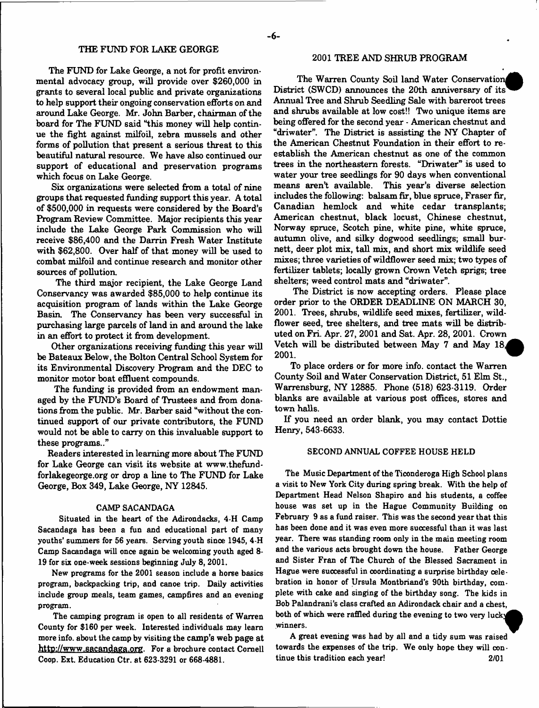The FUND for Lake George, a not for profit environmental advocacy group, will provide over \$260,000 in grants to several local public and private organizations to help support their ongoing conservation efforts on and around Lake George. Mr. John Barber, chairman of the board for The FUND said "this money will help continue the fight against milfoil, zebra mussels and other forms of pollution that present a serious threat to this beautiful natural resource. We have also continued our support of educational and preservation programs which focus on Lake George.

Six organizations were selected from a total of nine groups that requested funding support this year. A total of \$500,000 in requests were considered by the Board's Program Review Committee. Major recipients this year include the Lake George Park Commission who will receive \$86,400 and the Darrin Fresh Water Institute with \$62,800. Over half of that money will be used to combat milfoil and continue research and monitor other sources of pollution.

The third major recipient, the Lake George Land Conservancy was awarded \$85,000 to help continue its acquisition program of lands within the Lake George Basin. The Conservancy has been very successful in purchasing large parcels of land in and around the lake in an effort to protect it from development.

Other organizations receiving funding this year will be Bateaux Below, the Bolton Central School System for its Environmental Discovery Program and the DEC to monitor motor boat effluent compounds.

The funding is provided from an endowment managed by the FUND's Board of Trustees and from donations from the public. Mr. Barber said "without the continued support of our private contributors, the FUND would not be able to carry on this invaluable support to these programs.."

Readers interested in learning more about The FUND for Lake George can visit its website at www.thefundforlakegeoxge.org or drop a line to The FUND for Lake George, Box 349, Lake George, NY 12845.

### CAMP SACANDAGA

Situated in the heart of the Adirondacks, 4-H Camp Sacandaga has been a fun and educational part of many youths' summers for 56 years. Serving youth since 1945, 4-H Camp Sacandaga will once again be welcoming youth aged 8- 19 for six one-week sessions beginning July 8, 2001.

New programs for the 2001 season include a horse basics program, backpacking trip, and canoe trip. Daily activities include group meals, team games, campfires and an evening program.

The camping program is open to all residents of Warren County for \$160 per week. Interested individuals may learn more info, about the camp by visiting the camp's web page at [http://www.sacandaga.org.](http://www.sacandaga.org) For a brochure contact Cornell Coop. Ext. Education Ctr. at 623-3291 or 668-4881.

# 2001 TREE AND SHRUB PROGRAM

The Warren County Soil land Water Conservation^ District (SWCD) announces the 20th anniversary of its Annual Tree and Shrub Seedling Sale with bareroot trees and shrubs available at low cost!! Two unique items are being offered for the second year - American chestnut and "driwater". The District is assisting the NY Chapter of the American Chestnut Foundation in their effort to reestablish the American chestnut as one of the common trees in the northeastern forests. "Driwater" is used to water your tree seedlings for 90 days when conventional means aren't available. This year's diverse selection includes the following: balsam fir, blue spruce, Fraser fir, Canadian hemlock and white cedar transplants; American chestnut, black locust, Chinese chestnut, Norway spruce, Scotch pine, white pine, white spruce, autumn olive, and silky dogwood seedlings; small burnett, deer plot mix, tall mix, and short mix wildlife seed mixes; three varieties of wildflower seed mix; two types of fertilizer tablets; locally grown Crown Vetch sprigs; tree shelters; weed control mats and "driwater".

The District is now accepting orders. Please place order prior to the ORDER DEADLINE ON MARCH 30, 2001. Trees, shrubs, wildlife seed mixes, fertilizer, wildflower seed, tree shelters, and tree mats will be distributed on Fri. Apr. 27, 2001 and Sat. Apr. 28, 2001. Crown Vetch will be distributed between May 7 and May 18. **2001**. '

To place orders or for more info, contact the Warren County Soil and Water Conservation District, 51 Elm St., Warrensburg, NY 12885. Phone (518) 623-3119. Order blanks are available at various post offices, stores and town halls.

If you need an order blank, you may contact Dottie Henry, 543-6633.

#### SECOND ANNUAL COFFEE HOUSE HELD

The Music Department of the Ticonderoga High School plans a visit to New York City during spring break. With the help of Department Head Nelson Shapiro and his students, a coffee house was set up in the Hague Community Building on February 9 as a fund raiser. This was the second year that this has been done and it was even more successful than it was last year. There was standing room only in the main meeting room and the various acts brought down the house. Father George and Sister Fran of The Church of the Blessed Sacrament in Hague were successful in coordinating a surprise birthday oelebration in honor of Ursula Montbriand's 90th birthday, complete with cake and singing of the birthday song. The kids in Bob Palandrani's class crafted an Adirondack chair and a chest, both of which were raffled during the evening to two very lucky winners.

A great evening was had by all and a tidy sum was raised towards the expenses of the trip. We only hope they will continue this tradition each year! 2/01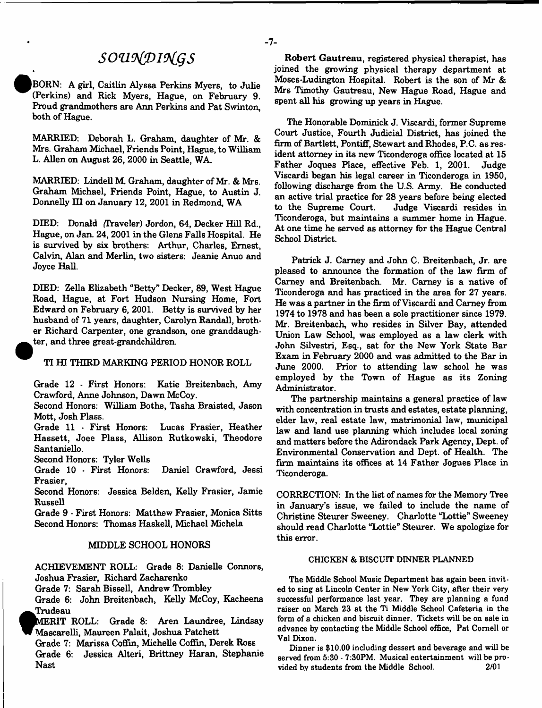# *souvitDiotgs*

BORN: A girl, Caitlin Alyssa Perkins Myers, to Julie (Perkins) and Rick Myers, Hague, on February 9. Proud grandmothers are Ann Perkins and Pat Swinton, both of Hague.

MARRIED: Deborah L. Graham, daughter of Mr. & Mrs. Graham Michael, Friends Point, Hague, to William L. Allen on August 26, 2000 in Seattle, WA.

MARRIED: Lindell M. Graham, daughter of Mr. & Mrs. Graham Michael, Friends Point, Hague, to Austin J. Donnelly HI on January 12, 2001 in Redmond, WA

DEED: Donald (Traveler) Jordon, 64, Decker Hill Rd., Hague, on Jan. 24,2001 in the Glens Falls Hospital. He is survived by six brothers: Arthur, Charles, Ernest, Calvin, Alan and Merlin, two sisters: Jeanie Anuo and Joyce Hall.

DEED: Zella Elizabeth "Betty" Decker, 89, West Hague Road, Hague, at Fort Hudson Nursing Home, Fort Edward on February 6, 2001. Betty is survived by her husband of 71 years, daughter, Carolyn Randall, brother Richard Carpenter, one grandson, one granddaugh ter, and three great-grandchildren.

# TI HI THIRD MARKING PERIOD HONOR ROLL

Grade 12 - First Honors: Katie Breitenbach, Amy Crawford, Anne Johnson, Dawn McCoy.

Second Honors: William Bothe, Tasha Braisted, Jason Mott, Josh Flass.

Grade 11 \* First Honors: Lucas Frasier, Heather Hassett, Joee Plass, Allison Rutkowski, Theodore Santaniello.

Second Honors: Tyler Wells

Grade 10 - First Honors: Daniel Crawford, Jessi Frasier,

Second Honors: Jessica Belden, Kelly Frasier, Jamie Russell

Grade 9 - First Honors: Matthew Frasier, Monica Sitts Second Honors: Thomas Haskell, Michael Michela

#### MIDDLE SCHOOL HONORS

ACHIEVEMENT ROLL: Grade 8: Danielle Connors, Joshua Frasier, Richard Zacharenko

Grade 7: Sarah Bissell, Andrew Trombley

Grade 6: John Breitenbach, Kelly McCoy, Kacheena **Trudeau** 

MERIT ROLL: Grade 8: Aren Laundree, Lindsay Mascarelli, Maureen Palait, Joshua Patchett

Grade 7: Marissa Coffin, Michelle Coffin, Derek Ross Grade 6: Jessica Alteri, Brittney Haran, Stephanie Nast

Robert Gautreau, registered physical therapist, has joined the growing physical therapy department at Moses-Ludington Hospital. Robert is the son of Mr & Mrs Timothy Gautreau, New Hague Road, Hague and spent all his growing up years in Hague.

The Honorable Dominick J. Viscardi, former Supreme Court Justice, Fourth Judicial District, has joined the firm of Bartlett, Pontiff, Stewart and Rhodes, P.C. as resident attorney in its new Ticonderoga office located at 15 Father Joques Place, effective Feb. 1, 2001. Judge Viscardi began his legal career in Ticonderoga in 1950, following discharge from the U.S. Army. He conducted an active trial practice for 28 years before being elected to the Supreme Court. Judge Viscardi resides in Ticonderoga, but maintains a summer home in Hague. At one time he served as attorney for the Hague Central School District.

Patrick J. Carney and John C. Breitenbach, Jr. are pleased to announce the formation of the law firm of Carney and Breitenbach. Mr. Carney is a native of Ticonderoga and has practiced in the area for 27 years. He was a partner in the firm of Viscardi and Carney from 1974 to 1978 and has been a sole practitioner since 1979. Mr. Breitenbach, who resides in Silver Bay, attended Union Law School, was employed as a law clerk with John Silvestri, Esq., sat for the New York State Bar Exam in February 2000 and was admitted to the Bar in June 2000. Prior to attending law school he was employed by the Town of Hague as its Zoning Administrator.

The partnership maintains a general practice of law with concentration in trusts and estates, estate planning, elder law, real estate law, matrimonial law, municipal law and land use planning which includes local zoning and matters before the Adirondack Park Agency, Dept, of Environmental Conservation and Dept, of Health. The firm maintains its offices at 14 Father Jogues Place in Ticonderoga.

CORRECTION: In the list of names for the Memory Tree in January's issue, we failed to include the name of Christine Steurer Sweeney. Charlotte "Lottie" Sweeney should read Charlotte "Lottie" Steurer. We apologize for this error.

### CHICKEN & BISCUIT DINNER PLANNED

The Middle School Music Department has again been invited to sing at Lincoln Center in New York City, after their very successful performance last year. They are planning a fund raiser on March 23 at the Ti Middle School Cafeteria in the form of a chicken and biscuit dinner. Tickets will be on sale in advance by contacting the Middle School office, Pat Cornell or Val Dixon.

Dinner is \$10.00 including dessert and beverage and will be served from 5:30 - 7:30PM. Musical entertainment will be provided by students from the Middle School. 2/01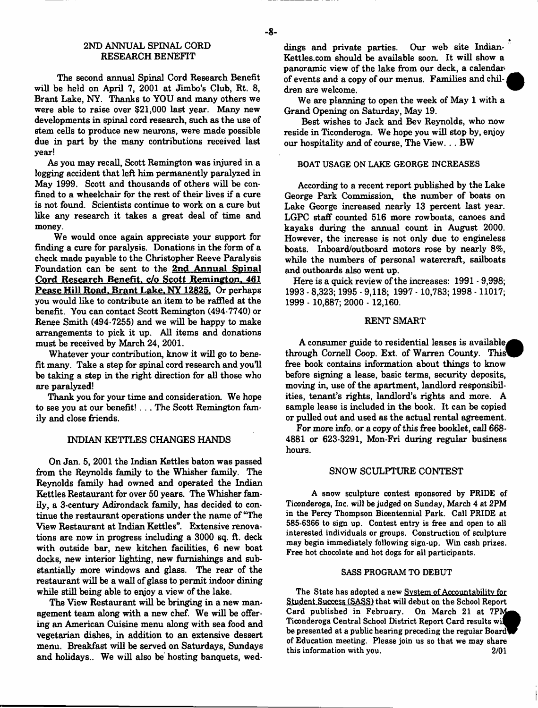# 2ND ANNUAL SPINAL CORD RESEARCH BENEFIT

The second annual Spinal Cord Research Benefit will be held on April 7, 2001 at Jimbo's Club, Rt. 8, Brant Lake, NY. Thanks to YOU and many others we were able to raise over \$21,000 last year. Many new developments in spinal cord research, such as the use of stem cells to produce new neurons, were made possible due in part by the many contributions received last year!

As you may recall, Scott Remington was injured in a logging accident that left him permanently paralyzed in May 1999. Scott and thousands of others will be confined to a wheelchair for the rest of their lives if a cure is not found. Scientists continue to work on a cure but like any research it takes a great deal of time and money.

We would once again appreciate your support for finding a cure for paralysis. Donations in the form of a check made payable to the Christopher Reeve Paralysis Foundation can be sent to the 2nd Annual Spinal Cord Research Benefit, *c*/o Scott Remington, 461 Pease Hill Road. Brant Lake. NY 12825. Or perhaps you would like to contribute an item to be raffled at the benefit. You can contact Scott Remington (494-7740) or Renee Smith (494-7255) and we will be happy to make arrangements to pick it up. All items and donations must be received by March 24, 2001.

Whatever your contribution, know it will go to benefit many. Take a step for spinal cord research and you'll be taking a step in the right direction for all those who are paralyzed!

Thank you for your time and consideration. We hope to see you at our benefit!.. . The Scott Remington family and close friends.

# INDIAN KETTLES CHANGES HANDS

On Jan. 5, 2001 the Indian Kettles baton was passed from the Reynolds family to the Whisher family. The Reynolds family had owned and operated the Indian Kettles Restaurant for over 50 years. The Whisher family, a 3-century Adirondack family, has decided to continue the restaurant operations under the name of "The View Restaurant at Indian Kettles". Extensive renovations are now in progress including a 3000 sq. ft. deck with outside bar, new kitchen facilities, 6 new boat docks, new interior lighting, new furnishings and substantially more windows and glass. The rear of the restaurant will be a wall of glass to permit indoor dining while still being able to enjoy a view of the lake.

The View Restaurant will be bringing in a new management team along with a new chef. We will be offering an American Cuisine menu along with sea food and vegetarian dishes, in addition to an extensive dessert menu. Breakfast will be served on Saturdays, Sundays and holidays.. We will also be hosting banquets, weddings and private parties. Our web site Indian-Kettles.com should be available soon. It will show a panoramic view of the lake from our deck, a calendar of events and a copy of our menus. Families and children are welcome.

We are planning to open the week of May 1 with a Grand Opening on Saturday, May 19.

Best wishes to Jack and Bev Reynolds, who now reside in Ticonderoga. We hope you will stop by, enjoy our hospitality and of course, The View... BW

# BOAT USAGE ON LAKE GEORGE INCREASES

According to a recent report published by the Lake George Park Commission, the number of boats on Lake George increased nearly 13 percent last year. LGPC staff counted 516 more rowboats, canoes and kayaks during the annual count in August 2000. However, the increase is not only due to engineless boats. Inboard/outboard motors rose by nearly 8%, while the numbers of personal watercraft, sailboats and outboards also went up.

Here is a quick review of the increases: 1991 - 9,998; 1993 - 8,323; 1995 - 9,118; 1997 -10,783; 1998 -11017; 1999 - 10,887; 2000 - 12,160.

### RENT SMART

A consumer guide to residential leases is available. through Cornell Coop. Ext. of Warren County. This free book contains information about things to know before signing a lease, basic terms, security deposits, moving in, use of the apartment, landlord responsibilities, tenant's rights, landlord's rights and more. A sample lease is included in the book. It can be copied or pulled out and used as the actual rental agreement.

For more info, or a copy of this free booklet, call 668-4881 or 623-3291, Mon-Fri during regular business hours.

#### SNOW SCULPTURE CONTEST

A snow sculpture contest sponsored by PRIDE of Ticonderoga, Inc. will be judged on Sunday, March 4 at 2PM in the Percy Thompson Bicentennial Park. Call PRIDE at 585-6366 to sign up. Contest entry is free and open to all interested individuals or groups. Construction of sculpture may begin immediately following sign-up. Win cash prizes. Free hot chocolate and hot dogs for all participants.

#### SASS PROGRAM TO DEBUT

The State has adopted a new System of Accountability for Student Success (SASS) that will debut on the School Report Card published in February. On March 21 at 7PM Ticonderoga Central School District Report Card results wi^^V be presented at a public hearing preceding the regular Board of Education meeting. Please join us so that we may share this information with you. 2/01

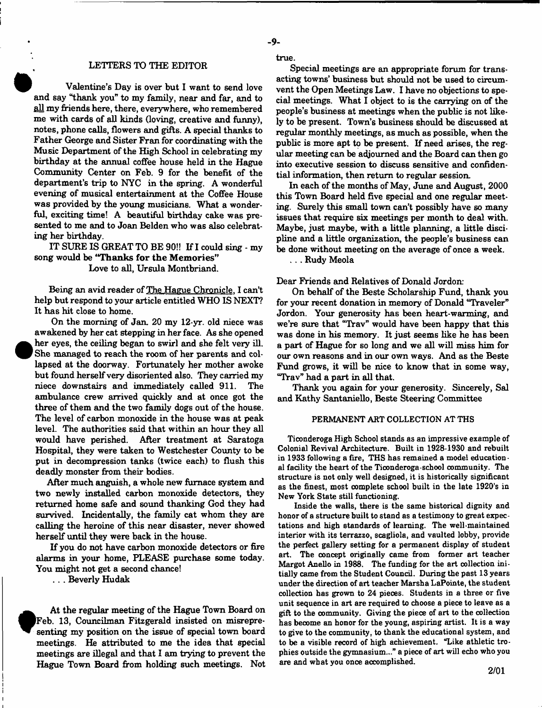#### LETTERS TO THE EDITOR

Valentine's Day is over but I want to send love and say "thank you" to my family, near and far, and to all my friends here, there, everywhere, who remembered me with cards of all kinds (loving, creative and funny), notes, phone calls, flowers and gifts. A special thanks to Father George and Sister Fran for coordinating with the Music Department of the High School in celebrating my birthday at the annual coffee house held in the Hague Community Center on Feb. 9 for the benefit of the department's trip to NYC in the spring. A wonderful evening of musical entertainment at the Coffee House was provided by the young musicians. What a wonderful, exciting time! A beautiful birthday cake was presented to me and to Joan Belden who was also celebrating her birthday.

IT SURE IS GREAT TO BE 90!! If I could sing - my song would be "Thanks for the Memories"

Love to all, Ursula Montbriand.

Being an avid reader of The Hague Chronicle. I can't help but respond to your article entitled WHO IS NEXT? It has hit close to home.

On the morning of Jan. 20 my 12-yr. old niece was awakened by her cat stepping in her face. As she opened her eyes, the ceiling began to swirl and she felt very ill. She managed to reach the room of her parents and collapsed at the doorway. Fortunately her mother awoke but found herself very disoriented also. They carried my niece downstairs and immediately called 911. The ambulance crew arrived quickly and at once got the three of them and the two family dogs out of the house. The level of carbon monoxide in the house was at peak level. The authorities said that within an hour they all would have perished. After treatment at Saratoga Hospital, they were taken to Westchester County to be put in decompression tanks (twice each) to flush this deadly monster from their bodies.

After much anguish, a whole new furnace system and two newly installed carbon monoxide detectors, they returned home safe and sound thanking God they had survived. Incidentally, the family cat whom they are calling the heroine of this near disaster, never showed herself until they were back in the house.

If you do not have carbon monoxide detectors or fire alarms in your home, PLEASE purchase some today. You might not get a second chance!

. . . Beverly Hudak

**•**

 At the regular meeting of the Hague Town Board on Feb. 13, Councilman Fitzgerald insisted on misrepresenting my position on the issue of special town board meetings. He attributed to me the idea that special meetings are illegal and that I am trying to prevent the Hague Town Board from holding such meetings. Not true.

Special meetings are an appropriate forum for transacting towns' business but should not be used to circumvent the Open Meetings Law. I have no objections to special meetings. What I object to is the carrying on of the people's business at meetings when the public is not likely to be present. Town's business should be discussed at regular monthly meetings, as much as possible, when the public is more apt to be present. If need arises, the regular meeting can be adjourned and the Board can then go into executive session to discuss sensitive and confidential information, then return to regular session.

In each of the months of May, June and August, 2000 this Town Board held five special and one regular meeting. Surely this small town can't possibly have so many issues that require six meetings per month to deal with. Maybe, just maybe, with a little planning, a little discipline and a little organization, the people's business can be done without meeting on the average of once a week.

. . . Rudy Meola

Dear Friends and Relatives of Donald Jordon:

On behalf of the Beste Scholarship Fund, thank you for your recent donation in memory of Donald "Traveler" Jordon. Your generosity has been heart-warming, and we're sure that "Trav" would have been happy that this was done in his memory. It just seems like he has been a part of Hague for so long and we all will miss him for our own reasons and in our own ways. And as the Beste Fund grows, it will be nice to know that in some way, "Trav" had a part in all that.

Thank you again for your generosity. Sincerely, Sal and Kathy Santaniello, Beste Steering Committee

# PERMANENT ART COLLECTION AT THS

Ticonderoga High School stands as an impressive example of Colonial Revival Architecture. Built in 1928-1930 and rebuilt in 1933 following a fire, THS has remained a model educational facility the heart of the Ticonderoga-school community. The structure is not only well designed, it is historically significant as the finest, most complete school built in the late 1920's in New York State still functioning.

Inside the walls, there is the same historical dignity and honor of a structure built to stand as a testimony to great expectations and high standards of learning. The well-maintained interior with its terrazzo, scagliola, and vaulted lobby, provide the perfect gallery setting for a permanent display of student art. The concept originally came from former art teacher Margot Anello in 1988. The funding for the art collection initially came from the Student Council. During the past 13 years under the direction of art teacher Marsha LaPointe, the student collection has grown to 24 pieces. Students in a three or five unit sequence in art are required to choose a piece to leave as a gift to the community. Giving the piece of art to the collection has beoome an honor for the young, aspiring artist. It is a way to give to the community, to thank the educational system, and to be a visible record of high achievement. "Like athletic trophies outside the gymnasium..." a piece of art will echo who you are and what you once accomplished.